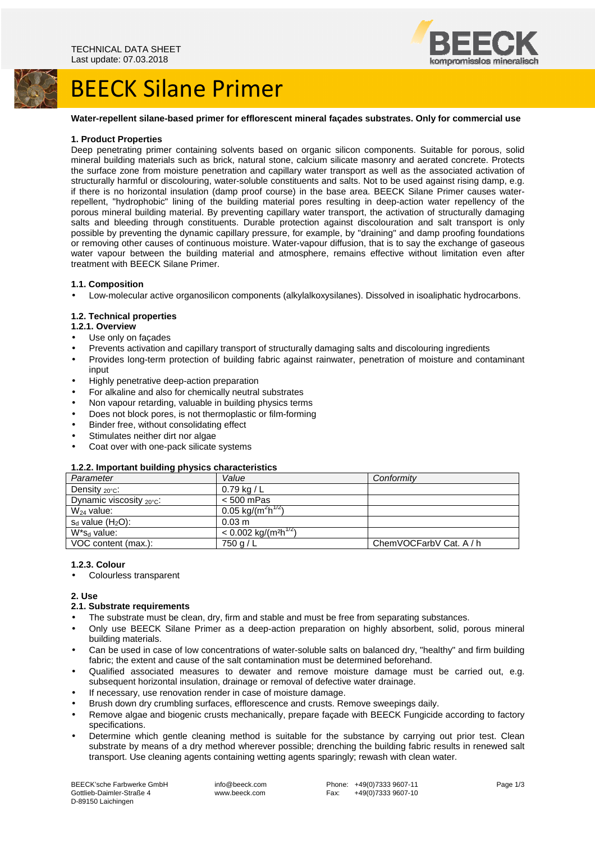

# BEECK Silane Primer

## **Water-repellent silane-based primer for efflorescent mineral façades substrates. Only for commercial use**

#### **1. Product Properties**

Deep penetrating primer containing solvents based on organic silicon components. Suitable for porous, solid mineral building materials such as brick, natural stone, calcium silicate masonry and aerated concrete. Protects the surface zone from moisture penetration and capillary water transport as well as the associated activation of structurally harmful or discolouring, water-soluble constituents and salts. Not to be used against rising damp, e.g. if there is no horizontal insulation (damp proof course) in the base area. BEECK Silane Primer causes waterrepellent, "hydrophobic" lining of the building material pores resulting in deep-action water repellency of the porous mineral building material. By preventing capillary water transport, the activation of structurally damaging salts and bleeding through constituents. Durable protection against discolouration and salt transport is only possible by preventing the dynamic capillary pressure, for example, by "draining" and damp proofing foundations or removing other causes of continuous moisture. Water-vapour diffusion, that is to say the exchange of gaseous water vapour between the building material and atmosphere, remains effective without limitation even after treatment with BEECK Silane Primer.

## **1.1. Composition**

• Low-molecular active organosilicon components (alkylalkoxysilanes). Dissolved in isoaliphatic hydrocarbons.

## **1.2. Technical properties**

### **1.2.1. Overview**

- Use only on facades
- Prevents activation and capillary transport of structurally damaging salts and discolouring ingredients
- Provides long-term protection of building fabric against rainwater, penetration of moisture and contaminant input
- Highly penetrative deep-action preparation
- For alkaline and also for chemically neutral substrates
- Non vapour retarding, valuable in building physics terms
- Does not block pores, is not thermoplastic or film-forming
- Binder free, without consolidating effect
- Stimulates neither dirt nor algae
- Coat over with one-pack silicate systems

### **1.2.2. Important building physics characteristics**

| . .                               |                                              |                         |
|-----------------------------------|----------------------------------------------|-------------------------|
| Parameter                         | Value                                        | Conformity              |
| Density $20^{\circ}$ C:           | $0.79$ kg / L                                |                         |
| Dynamic viscosity $20^{\circ}$ c: | $< 500$ mPas                                 |                         |
| $W_{24}$ value:                   | $0.05 \text{ kg/(m}^2 \text{h}^{1/2})$       |                         |
| $s_d$ value $(H_2O)$ :            | $0.03 \text{ m}$                             |                         |
| $W^*$ s <sub>d</sub> value:       | $< 0.002$ kg/(m <sup>2h<sup>172</sup>)</sup> |                         |
| VOC content (max.):               | 750 g / L                                    | ChemVOCFarbV Cat. A / h |

### **1.2.3. Colour**

• Colourless transparent

### **2. Use**

### **2.1. Substrate requirements**

- The substrate must be clean, dry, firm and stable and must be free from separating substances.
- Only use BEECK Silane Primer as a deep-action preparation on highly absorbent, solid, porous mineral building materials.
- Can be used in case of low concentrations of water-soluble salts on balanced dry, "healthy" and firm building fabric; the extent and cause of the salt contamination must be determined beforehand.
- Qualified associated measures to dewater and remove moisture damage must be carried out, e.g. subsequent horizontal insulation, drainage or removal of defective water drainage.
- If necessary, use renovation render in case of moisture damage.
- Brush down dry crumbling surfaces, efflorescence and crusts. Remove sweepings daily.
- Remove algae and biogenic crusts mechanically, prepare façade with BEECK Fungicide according to factory specifications.
- Determine which gentle cleaning method is suitable for the substance by carrying out prior test. Clean substrate by means of a dry method wherever possible; drenching the building fabric results in renewed salt transport. Use cleaning agents containing wetting agents sparingly; rewash with clean water.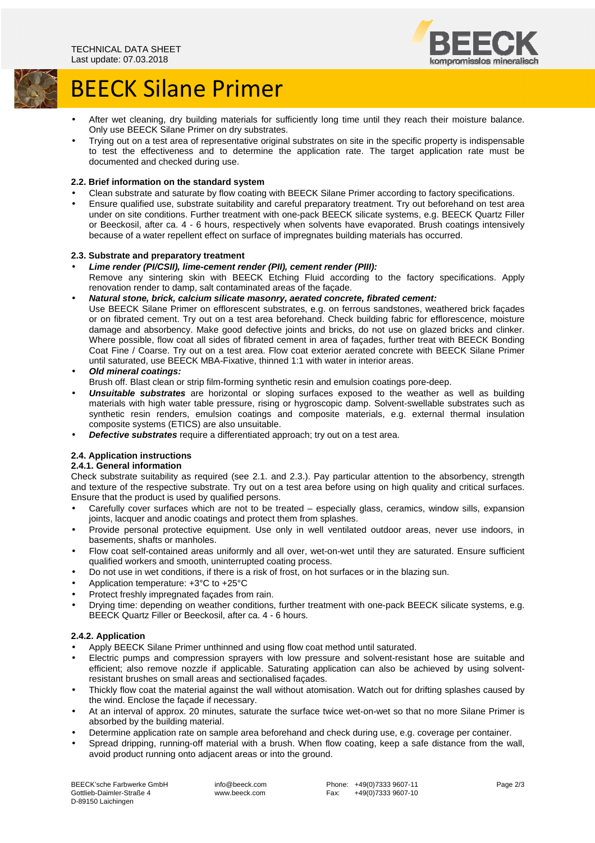



## BEECK Silane Primer

- After wet cleaning, dry building materials for sufficiently long time until they reach their moisture balance. Only use BEECK Silane Primer on dry substrates.
- Trying out on a test area of representative original substrates on site in the specific property is indispensable to test the effectiveness and to determine the application rate. The target application rate must be documented and checked during use.

## **2.2. Brief information on the standard system**

- Clean substrate and saturate by flow coating with BEECK Silane Primer according to factory specifications.
- Ensure qualified use, substrate suitability and careful preparatory treatment. Try out beforehand on test area under on site conditions. Further treatment with one-pack BEECK silicate systems, e.g. BEECK Quartz Filler or Beeckosil, after ca. 4 - 6 hours, respectively when solvents have evaporated. Brush coatings intensively because of a water repellent effect on surface of impregnates building materials has occurred.

## **2.3. Substrate and preparatory treatment**

- **Lime render (PI/CSII), lime-cement render (PII), cement render (PIII):**
- Remove any sintering skin with BEECK Etching Fluid according to the factory specifications. Apply renovation render to damp, salt contaminated areas of the façade.
- **Natural stone, brick, calcium silicate masonry, aerated concrete, fibrated cement:**

Use BEECK Silane Primer on efflorescent substrates, e.g. on ferrous sandstones, weathered brick façades or on fibrated cement. Try out on a test area beforehand. Check building fabric for efflorescence, moisture damage and absorbency. Make good defective joints and bricks, do not use on glazed bricks and clinker. Where possible, flow coat all sides of fibrated cement in area of façades, further treat with BEECK Bonding Coat Fine / Coarse. Try out on a test area. Flow coat exterior aerated concrete with BEECK Silane Primer until saturated, use BEECK MBA-Fixative, thinned 1:1 with water in interior areas.

- **Old mineral coatings:**
- Brush off. Blast clean or strip film-forming synthetic resin and emulsion coatings pore-deep.
- **Unsuitable substrates** are horizontal or sloping surfaces exposed to the weather as well as building materials with high water table pressure, rising or hygroscopic damp. Solvent-swellable substrates such as synthetic resin renders, emulsion coatings and composite materials, e.g. external thermal insulation composite systems (ETICS) are also unsuitable.
- **Defective substrates** require a differentiated approach; try out on a test area.

## **2.4. Application instructions**

## **2.4.1. General information**

Check substrate suitability as required (see 2.1. and 2.3.). Pay particular attention to the absorbency, strength and texture of the respective substrate. Try out on a test area before using on high quality and critical surfaces. Ensure that the product is used by qualified persons.

- Carefully cover surfaces which are not to be treated especially glass, ceramics, window sills, expansion joints, lacquer and anodic coatings and protect them from splashes.
- Provide personal protective equipment. Use only in well ventilated outdoor areas, never use indoors, in basements, shafts or manholes.
- Flow coat self-contained areas uniformly and all over, wet-on-wet until they are saturated. Ensure sufficient qualified workers and smooth, uninterrupted coating process.
- Do not use in wet conditions, if there is a risk of frost, on hot surfaces or in the blazing sun.
- Application temperature: +3°C to +25°C
- Protect freshly impregnated façades from rain.
- Drying time: depending on weather conditions, further treatment with one-pack BEECK silicate systems, e.g. BEECK Quartz Filler or Beeckosil, after ca. 4 - 6 hours.

## **2.4.2. Application**

- Apply BEECK Silane Primer unthinned and using flow coat method until saturated.
- Electric pumps and compression sprayers with low pressure and solvent-resistant hose are suitable and efficient; also remove nozzle if applicable. Saturating application can also be achieved by using solventresistant brushes on small areas and sectionalised façades.
- Thickly flow coat the material against the wall without atomisation. Watch out for drifting splashes caused by the wind. Enclose the façade if necessary.
- At an interval of approx. 20 minutes, saturate the surface twice wet-on-wet so that no more Silane Primer is absorbed by the building material.
- Determine application rate on sample area beforehand and check during use, e.g. coverage per container.
- Spread dripping, running-off material with a brush. When flow coating, keep a safe distance from the wall, avoid product running onto adjacent areas or into the ground.